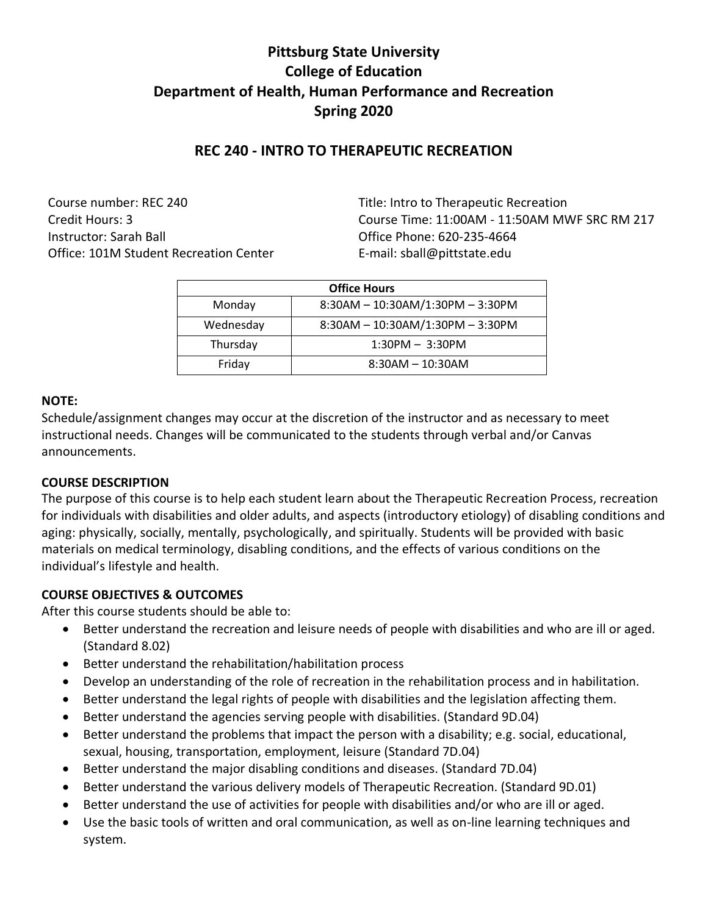# **Pittsburg State University College of Education Department of Health, Human Performance and Recreation Spring 2020**

# **REC 240 - INTRO TO THERAPEUTIC RECREATION**

Course number: REC 240 Title: Intro to Therapeutic Recreation Instructor: Sarah Ball Office Phone: 620-235-4664 Office: 101M Student Recreation Center Fermail: sball@pittstate.edu

Credit Hours: 3 Course Time: 11:00AM - 11:50AM MWF SRC RM 217

| <b>Office Hours</b> |                                  |  |
|---------------------|----------------------------------|--|
| Monday              | 8:30AM - 10:30AM/1:30PM - 3:30PM |  |
| Wednesday           | 8:30AM - 10:30AM/1:30PM - 3:30PM |  |
| Thursday            | $1:30PM - 3:30PM$                |  |
| Friday              | $8:30AM - 10:30AM$               |  |

#### **NOTE:**

Schedule/assignment changes may occur at the discretion of the instructor and as necessary to meet instructional needs. Changes will be communicated to the students through verbal and/or Canvas announcements.

#### **COURSE DESCRIPTION**

The purpose of this course is to help each student learn about the Therapeutic Recreation Process, recreation for individuals with disabilities and older adults, and aspects (introductory etiology) of disabling conditions and aging: physically, socially, mentally, psychologically, and spiritually. Students will be provided with basic materials on medical terminology, disabling conditions, and the effects of various conditions on the individual's lifestyle and health.

### **COURSE OBJECTIVES & OUTCOMES**

After this course students should be able to:

- Better understand the recreation and leisure needs of people with disabilities and who are ill or aged. (Standard 8.02)
- Better understand the rehabilitation/habilitation process
- Develop an understanding of the role of recreation in the rehabilitation process and in habilitation.
- Better understand the legal rights of people with disabilities and the legislation affecting them.
- Better understand the agencies serving people with disabilities. (Standard 9D.04)
- Better understand the problems that impact the person with a disability; e.g. social, educational, sexual, housing, transportation, employment, leisure (Standard 7D.04)
- Better understand the major disabling conditions and diseases. (Standard 7D.04)
- Better understand the various delivery models of Therapeutic Recreation. (Standard 9D.01)
- Better understand the use of activities for people with disabilities and/or who are ill or aged.
- Use the basic tools of written and oral communication, as well as on-line learning techniques and system.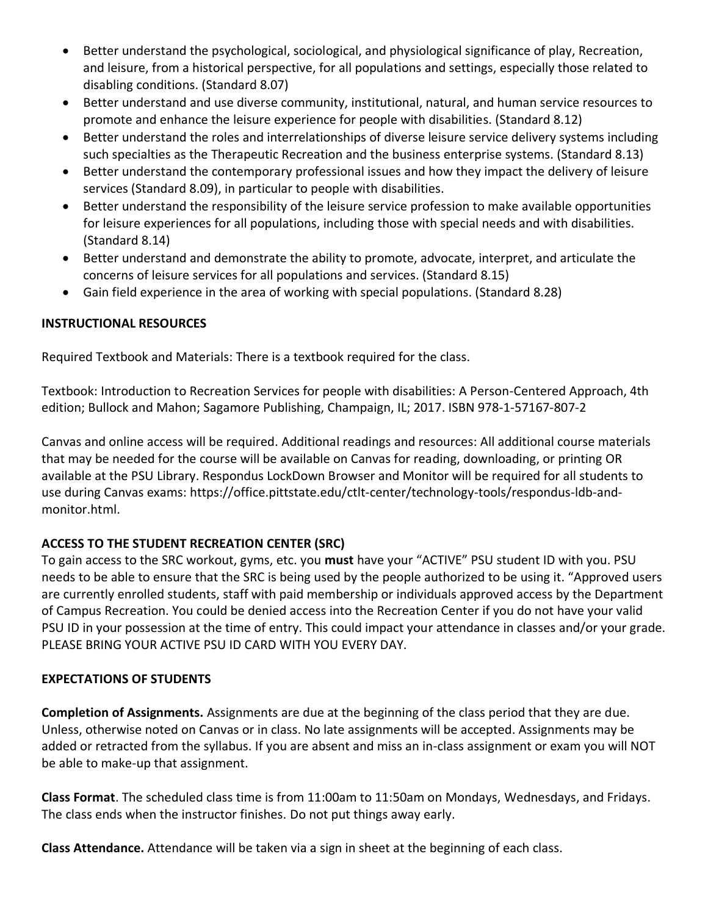- Better understand the psychological, sociological, and physiological significance of play, Recreation, and leisure, from a historical perspective, for all populations and settings, especially those related to disabling conditions. (Standard 8.07)
- Better understand and use diverse community, institutional, natural, and human service resources to promote and enhance the leisure experience for people with disabilities. (Standard 8.12)
- Better understand the roles and interrelationships of diverse leisure service delivery systems including such specialties as the Therapeutic Recreation and the business enterprise systems. (Standard 8.13)
- Better understand the contemporary professional issues and how they impact the delivery of leisure services (Standard 8.09), in particular to people with disabilities.
- Better understand the responsibility of the leisure service profession to make available opportunities for leisure experiences for all populations, including those with special needs and with disabilities. (Standard 8.14)
- Better understand and demonstrate the ability to promote, advocate, interpret, and articulate the concerns of leisure services for all populations and services. (Standard 8.15)
- Gain field experience in the area of working with special populations. (Standard 8.28)

# **INSTRUCTIONAL RESOURCES**

Required Textbook and Materials: There is a textbook required for the class.

Textbook: Introduction to Recreation Services for people with disabilities: A Person-Centered Approach, 4th edition; Bullock and Mahon; Sagamore Publishing, Champaign, IL; 2017. ISBN 978-1-57167-807-2

Canvas and online access will be required. Additional readings and resources: All additional course materials that may be needed for the course will be available on Canvas for reading, downloading, or printing OR available at the PSU Library. Respondus LockDown Browser and Monitor will be required for all students to use during Canvas exams: https://office.pittstate.edu/ctlt-center/technology-tools/respondus-ldb-andmonitor.html.

# **ACCESS TO THE STUDENT RECREATION CENTER (SRC)**

To gain access to the SRC workout, gyms, etc. you **must** have your "ACTIVE" PSU student ID with you. PSU needs to be able to ensure that the SRC is being used by the people authorized to be using it. "Approved users are currently enrolled students, staff with paid membership or individuals approved access by the Department of Campus Recreation. You could be denied access into the Recreation Center if you do not have your valid PSU ID in your possession at the time of entry. This could impact your attendance in classes and/or your grade. PLEASE BRING YOUR ACTIVE PSU ID CARD WITH YOU EVERY DAY.

# **EXPECTATIONS OF STUDENTS**

**Completion of Assignments.** Assignments are due at the beginning of the class period that they are due. Unless, otherwise noted on Canvas or in class. No late assignments will be accepted. Assignments may be added or retracted from the syllabus. If you are absent and miss an in-class assignment or exam you will NOT be able to make-up that assignment.

**Class Format**. The scheduled class time is from 11:00am to 11:50am on Mondays, Wednesdays, and Fridays. The class ends when the instructor finishes. Do not put things away early.

**Class Attendance.** Attendance will be taken via a sign in sheet at the beginning of each class.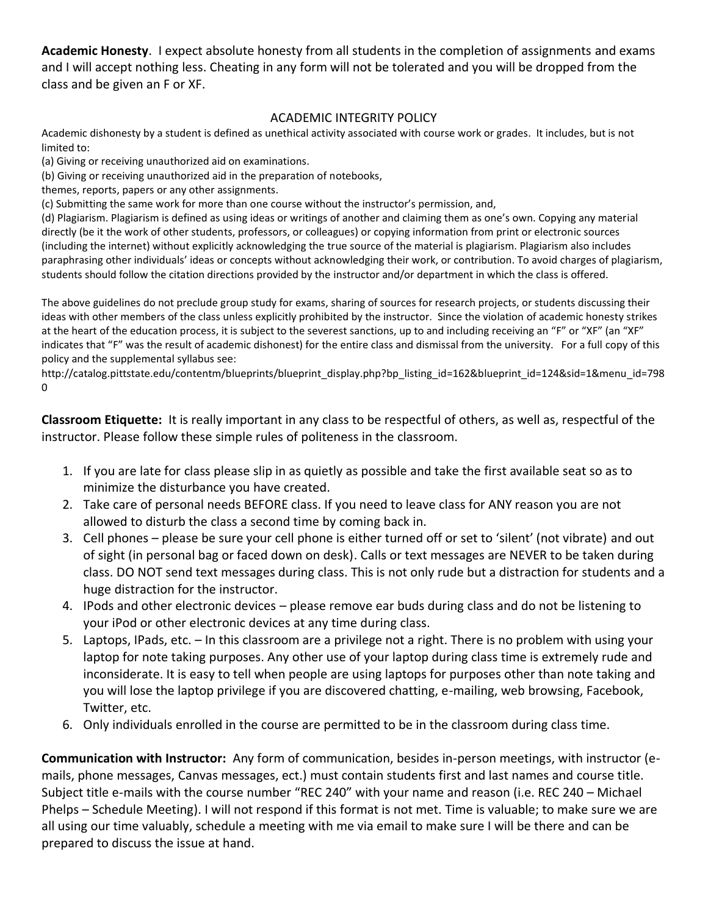**Academic Honesty**. I expect absolute honesty from all students in the completion of assignments and exams and I will accept nothing less. Cheating in any form will not be tolerated and you will be dropped from the class and be given an F or XF.

#### ACADEMIC INTEGRITY POLICY

Academic dishonesty by a student is defined as unethical activity associated with course work or grades. It includes, but is not limited to:

(a) Giving or receiving unauthorized aid on examinations.

(b) Giving or receiving unauthorized aid in the preparation of notebooks,

themes, reports, papers or any other assignments.

(c) Submitting the same work for more than one course without the instructor's permission, and,

(d) Plagiarism. Plagiarism is defined as using ideas or writings of another and claiming them as one's own. Copying any material directly (be it the work of other students, professors, or colleagues) or copying information from print or electronic sources (including the internet) without explicitly acknowledging the true source of the material is plagiarism. Plagiarism also includes paraphrasing other individuals' ideas or concepts without acknowledging their work, or contribution. To avoid charges of plagiarism, students should follow the citation directions provided by the instructor and/or department in which the class is offered.

The above guidelines do not preclude group study for exams, sharing of sources for research projects, or students discussing their ideas with other members of the class unless explicitly prohibited by the instructor. Since the violation of academic honesty strikes at the heart of the education process, it is subject to the severest sanctions, up to and including receiving an "F" or "XF" (an "XF" indicates that "F" was the result of academic dishonest) for the entire class and dismissal from the university. For a full copy of this policy and the supplemental syllabus see:

[http://catalog.pittstate.edu/contentm/blueprints/blueprint\\_display.php?bp\\_listing\\_id=162&blueprint\\_id=124&sid=1&menu\\_id=798](http://catalog.pittstate.edu/contentm/blueprints/blueprint_display.php?bp_listing_id=162&blueprint_id=124&sid=1&menu_id=7980) [0](http://catalog.pittstate.edu/contentm/blueprints/blueprint_display.php?bp_listing_id=162&blueprint_id=124&sid=1&menu_id=7980)

**Classroom Etiquette:** It is really important in any class to be respectful of others, as well as, respectful of the instructor. Please follow these simple rules of politeness in the classroom.

- 1. If you are late for class please slip in as quietly as possible and take the first available seat so as to minimize the disturbance you have created.
- 2. Take care of personal needs BEFORE class. If you need to leave class for ANY reason you are not allowed to disturb the class a second time by coming back in.
- 3. Cell phones please be sure your cell phone is either turned off or set to 'silent' (not vibrate) and out of sight (in personal bag or faced down on desk). Calls or text messages are NEVER to be taken during class. DO NOT send text messages during class. This is not only rude but a distraction for students and a huge distraction for the instructor.
- 4. IPods and other electronic devices please remove ear buds during class and do not be listening to your iPod or other electronic devices at any time during class.
- 5. Laptops, IPads, etc. In this classroom are a privilege not a right. There is no problem with using your laptop for note taking purposes. Any other use of your laptop during class time is extremely rude and inconsiderate. It is easy to tell when people are using laptops for purposes other than note taking and you will lose the laptop privilege if you are discovered chatting, e-mailing, web browsing, Facebook, Twitter, etc.
- 6. Only individuals enrolled in the course are permitted to be in the classroom during class time.

**Communication with Instructor:** Any form of communication, besides in-person meetings, with instructor (emails, phone messages, Canvas messages, ect.) must contain students first and last names and course title. Subject title e-mails with the course number "REC 240" with your name and reason (i.e. REC 240 – Michael Phelps – Schedule Meeting). I will not respond if this format is not met. Time is valuable; to make sure we are all using our time valuably, schedule a meeting with me via email to make sure I will be there and can be prepared to discuss the issue at hand.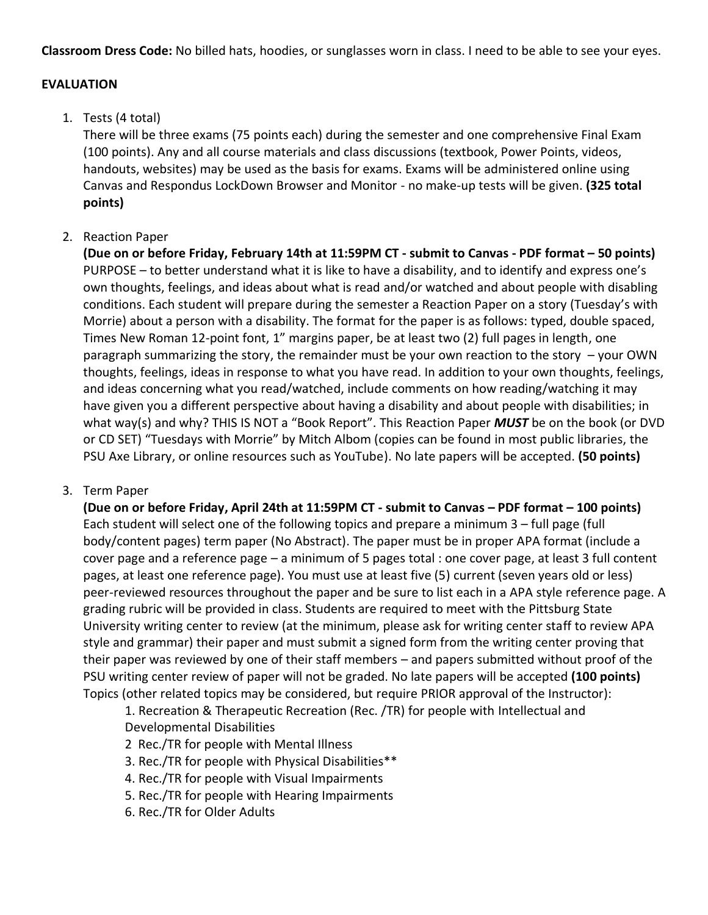**Classroom Dress Code:** No billed hats, hoodies, or sunglasses worn in class. I need to be able to see your eyes.

#### **EVALUATION**

### 1. Tests (4 total)

There will be three exams (75 points each) during the semester and one comprehensive Final Exam (100 points). Any and all course materials and class discussions (textbook, Power Points, videos, handouts, websites) may be used as the basis for exams. Exams will be administered online using Canvas and Respondus LockDown Browser and Monitor - no make-up tests will be given. **(325 total points)**

### 2. Reaction Paper

**(Due on or before Friday, February 14th at 11:59PM CT - submit to Canvas - PDF format – 50 points)** PURPOSE – to better understand what it is like to have a disability, and to identify and express one's own thoughts, feelings, and ideas about what is read and/or watched and about people with disabling conditions. Each student will prepare during the semester a Reaction Paper on a story (Tuesday's with Morrie) about a person with a disability. The format for the paper is as follows: typed, double spaced, Times New Roman 12-point font, 1" margins paper, be at least two (2) full pages in length, one paragraph summarizing the story, the remainder must be your own reaction to the story – your OWN thoughts, feelings, ideas in response to what you have read. In addition to your own thoughts, feelings, and ideas concerning what you read/watched, include comments on how reading/watching it may have given you a different perspective about having a disability and about people with disabilities; in what way(s) and why? THIS IS NOT a "Book Report". This Reaction Paper *MUST* be on the book (or DVD or CD SET) "Tuesdays with Morrie" by Mitch Albom (copies can be found in most public libraries, the PSU Axe Library, or online resources such as YouTube). No late papers will be accepted. **(50 points)**

### 3. Term Paper

**(Due on or before Friday, April 24th at 11:59PM CT - submit to Canvas – PDF format – 100 points)** Each student will select one of the following topics and prepare a minimum 3 – full page (full body/content pages) term paper (No Abstract). The paper must be in proper APA format (include a cover page and a reference page – a minimum of 5 pages total : one cover page, at least 3 full content pages, at least one reference page). You must use at least five (5) current (seven years old or less) peer-reviewed resources throughout the paper and be sure to list each in a APA style reference page. A grading rubric will be provided in class. Students are required to meet with the Pittsburg State University writing center to review (at the minimum, please ask for writing center staff to review APA style and grammar) their paper and must submit a signed form from the writing center proving that their paper was reviewed by one of their staff members – and papers submitted without proof of the PSU writing center review of paper will not be graded. No late papers will be accepted **(100 points)** Topics (other related topics may be considered, but require PRIOR approval of the Instructor):

1. Recreation & Therapeutic Recreation (Rec. /TR) for people with Intellectual and Developmental Disabilities

- 2 Rec./TR for people with Mental Illness
- 3. Rec./TR for people with Physical Disabilities\*\*
- 4. Rec./TR for people with Visual Impairments
- 5. Rec./TR for people with Hearing Impairments
- 6. Rec./TR for Older Adults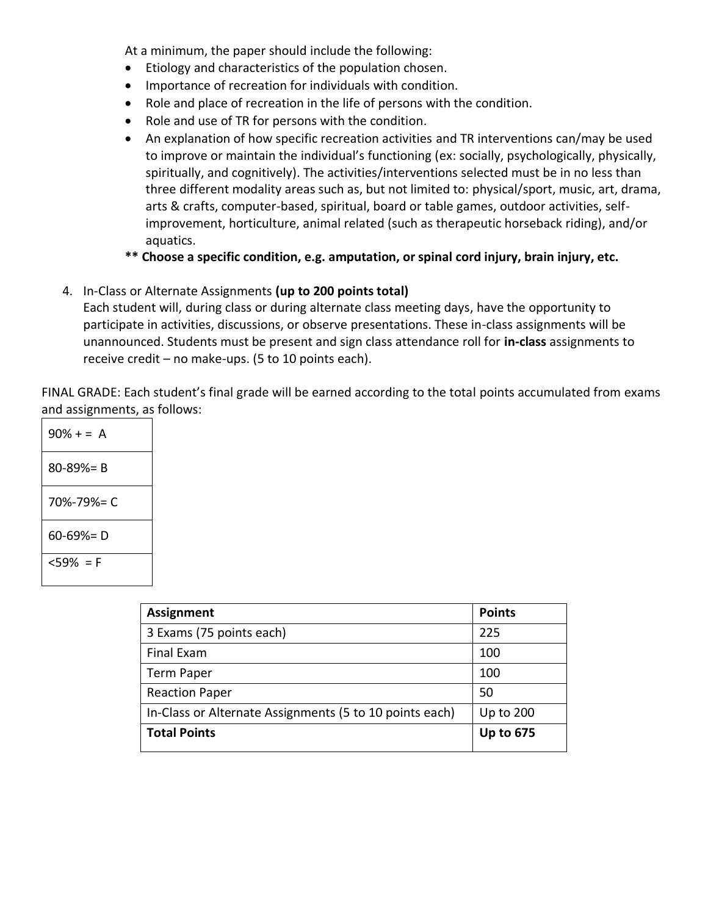At a minimum, the paper should include the following:

- Etiology and characteristics of the population chosen.
- Importance of recreation for individuals with condition.
- Role and place of recreation in the life of persons with the condition.
- Role and use of TR for persons with the condition.
- An explanation of how specific recreation activities and TR interventions can/may be used to improve or maintain the individual's functioning (ex: socially, psychologically, physically, spiritually, and cognitively). The activities/interventions selected must be in no less than three different modality areas such as, but not limited to: physical/sport, music, art, drama, arts & crafts, computer-based, spiritual, board or table games, outdoor activities, selfimprovement, horticulture, animal related (such as therapeutic horseback riding), and/or aquatics.
- **\*\* Choose a specific condition, e.g. amputation, or spinal cord injury, brain injury, etc.**
- 4. In-Class or Alternate Assignments **(up to 200 points total)**

Each student will, during class or during alternate class meeting days, have the opportunity to participate in activities, discussions, or observe presentations. These in-class assignments will be unannounced. Students must be present and sign class attendance roll for **in-class** assignments to receive credit – no make-ups. (5 to 10 points each).

FINAL GRADE: Each student's final grade will be earned according to the total points accumulated from exams and assignments, as follows:

| $90% + = A$     |
|-----------------|
| $80 - 89\% = B$ |
| 70%-79%= C      |
| $60 - 69\% = D$ |
| <59% = F        |

| <b>Assignment</b>                                       | <b>Points</b>    |
|---------------------------------------------------------|------------------|
| 3 Exams (75 points each)                                | 225              |
| Final Exam                                              | 100              |
| <b>Term Paper</b>                                       | 100              |
| <b>Reaction Paper</b>                                   | 50               |
| In-Class or Alternate Assignments (5 to 10 points each) | <b>Up to 200</b> |
| <b>Total Points</b>                                     | <b>Up to 675</b> |